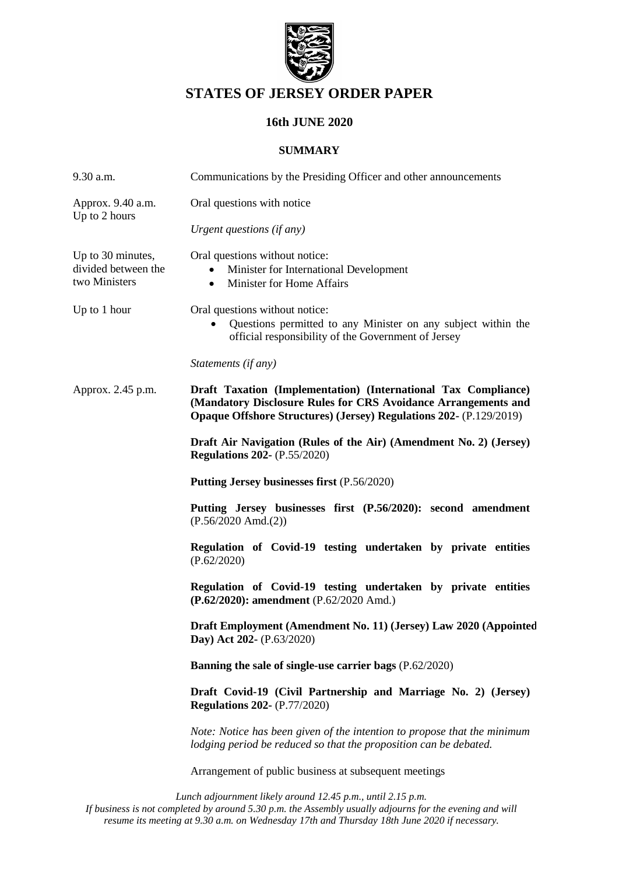

# **STATES OF JERSEY ORDER PAPER**

# **16th JUNE 2020**

#### **SUMMARY**

| 9.30 a.m.                                                 | Communications by the Presiding Officer and other announcements                                                                                                                                               |
|-----------------------------------------------------------|---------------------------------------------------------------------------------------------------------------------------------------------------------------------------------------------------------------|
| Approx. 9.40 a.m.<br>Up to 2 hours                        | Oral questions with notice                                                                                                                                                                                    |
|                                                           | Urgent questions (if any)                                                                                                                                                                                     |
| Up to 30 minutes,<br>divided between the<br>two Ministers | Oral questions without notice:<br>Minister for International Development<br>Minister for Home Affairs<br>$\bullet$                                                                                            |
| Up to 1 hour                                              | Oral questions without notice:<br>Questions permitted to any Minister on any subject within the<br>official responsibility of the Government of Jersey                                                        |
|                                                           | Statements (if any)                                                                                                                                                                                           |
| Approx. 2.45 p.m.                                         | Draft Taxation (Implementation) (International Tax Compliance)<br>(Mandatory Disclosure Rules for CRS Avoidance Arrangements and<br><b>Opaque Offshore Structures) (Jersey) Regulations 202- (P.129/2019)</b> |
|                                                           | Draft Air Navigation (Rules of the Air) (Amendment No. 2) (Jersey)<br><b>Regulations 202-</b> (P.55/2020)                                                                                                     |
|                                                           | Putting Jersey businesses first (P.56/2020)                                                                                                                                                                   |
|                                                           | Putting Jersey businesses first (P.56/2020): second amendment<br>$(P.56/2020 \text{ Amd.}(2))$                                                                                                                |
|                                                           | Regulation of Covid-19 testing undertaken by private entities<br>(P.62/2020)                                                                                                                                  |
|                                                           | Regulation of Covid-19 testing undertaken by private entities<br>(P.62/2020): amendment (P.62/2020 Amd.)                                                                                                      |
|                                                           | Draft Employment (Amendment No. 11) (Jersey) Law 2020 (Appointed<br>Day) Act 202- (P.63/2020)                                                                                                                 |
|                                                           | Banning the sale of single-use carrier bags (P.62/2020)                                                                                                                                                       |
|                                                           | Draft Covid-19 (Civil Partnership and Marriage No. 2) (Jersey)<br><b>Regulations 202-</b> (P.77/2020)                                                                                                         |
|                                                           | Note: Notice has been given of the intention to propose that the minimum<br>lodging period be reduced so that the proposition can be debated.                                                                 |
|                                                           | Arrangement of public business at subsequent meetings                                                                                                                                                         |

*Lunch adjournment likely around 12.45 p.m., until 2.15 p.m. If business is not completed by around 5.30 p.m. the Assembly usually adjourns for the evening and will resume its meeting at 9.30 a.m. on Wednesday 17th and Thursday 18th June 2020 if necessary.*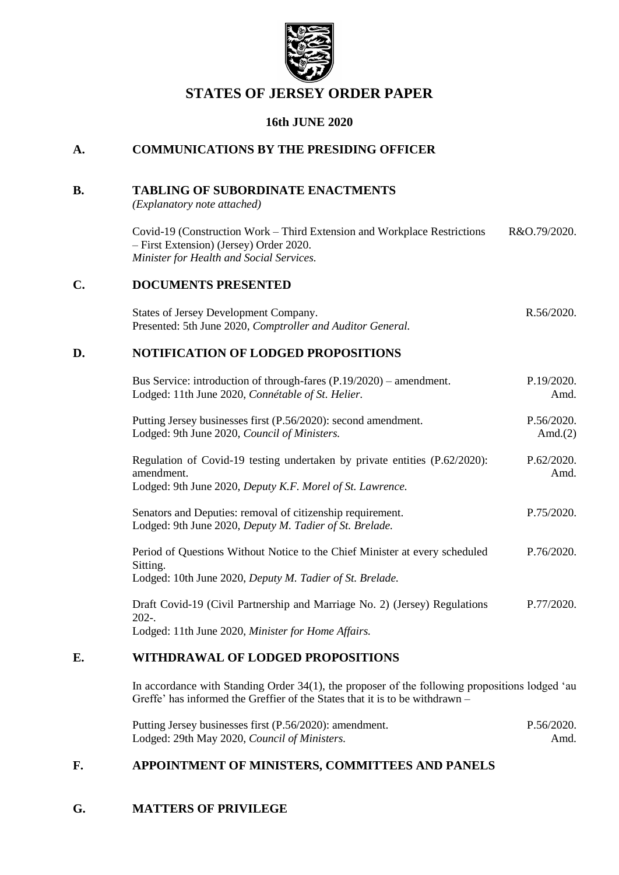

# **STATES OF JERSEY ORDER PAPER**

### **16th JUNE 2020**

## **A. COMMUNICATIONS BY THE PRESIDING OFFICER**

### **B. TABLING OF SUBORDINATE ENACTMENTS**

*(Explanatory note attached)*

Covid-19 (Construction Work – [Third Extension and Workplace Restrictions](https://www.jerseylaw.je/laws/enacted/Pages/RO-079-2020.aspx)  – [First Extension\) \(Jersey\) Order 2020.](https://www.jerseylaw.je/laws/enacted/Pages/RO-079-2020.aspx) *[Minister for Health and Social Services.](https://www.jerseylaw.je/laws/enacted/Pages/RO-079-2020.aspx)* [R&O.79/2020.](https://www.jerseylaw.je/laws/enacted/Pages/RO-079-2020.aspx)

### **C. DOCUMENTS PRESENTED**

[States of Jersey Development Company.](https://statesassembly.gov.je/assemblyreports/2020/r.56-2020.pdf) Presented: 5th June 2020, *[Comptroller and Auditor General.](https://statesassembly.gov.je/assemblyreports/2020/r.56-2020.pdf)* [R.56/2020.](https://statesassembly.gov.je/assemblyreports/2020/r.56-2020.pdf)

## **D. NOTIFICATION OF LODGED PROPOSITIONS**

| Bus Service: introduction of through-fares $(P.19/2020)$ – amendment.<br>Lodged: 11th June 2020, Connétable of St. Helier.                            | P.19/2020.<br>Amd.       |
|-------------------------------------------------------------------------------------------------------------------------------------------------------|--------------------------|
| Putting Jersey businesses first (P.56/2020): second amendment.<br>Lodged: 9th June 2020, Council of Ministers.                                        | P.56/2020.<br>Amd. $(2)$ |
| Regulation of Covid-19 testing undertaken by private entities (P.62/2020):<br>amendment.<br>Lodged: 9th June 2020, Deputy K.F. Morel of St. Lawrence. | P.62/2020.<br>Amd.       |
| Senators and Deputies: removal of citizenship requirement.<br>Lodged: 9th June 2020, Deputy M. Tadier of St. Brelade.                                 | P.75/2020.               |
| Period of Questions Without Notice to the Chief Minister at every scheduled<br>Sitting.<br>Lodged: 10th June 2020, Deputy M. Tadier of St. Brelade.   | P.76/2020.               |
| Draft Covid-19 (Civil Partnership and Marriage No. 2) (Jersey) Regulations<br>$202 -$<br>Lodged: 11th June 2020, Minister for Home Affairs.           | P.77/2020.               |
|                                                                                                                                                       |                          |

# **E. WITHDRAWAL OF LODGED PROPOSITIONS**

In accordance with Standing Order 34(1), the proposer of the following propositions lodged 'au Greffe' has informed the Greffier of the States that it is to be withdrawn –

| Putting Jersey businesses first (P.56/2020): amendment. | P.56/2020. |
|---------------------------------------------------------|------------|
| Lodged: 29th May 2020, Council of Ministers.            | Amd.       |

## **F. APPOINTMENT OF MINISTERS, COMMITTEES AND PANELS**

### **G. MATTERS OF PRIVILEGE**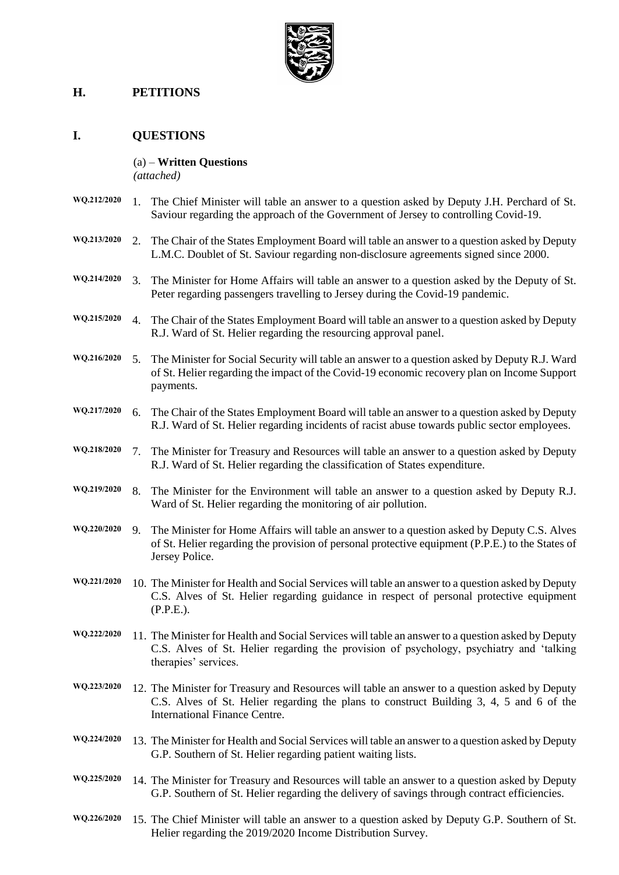

## **H. PETITIONS**

### **I. QUESTIONS**

#### (a) – **Written Questions** *(attached)*

- **WQ.212/2020** 1. The Chief Minister will table an answer to a question asked by Deputy J.H. Perchard of St. Saviour regarding the approach of the Government of Jersey to controlling Covid-19. **WQ.213/2020** 2. The Chair of the States Employment Board will table an answer to a question asked by Deputy L.M.C. Doublet of St. Saviour regarding non-disclosure agreements signed since 2000. **WQ.214/2020** 3. The Minister for Home Affairs will table an answer to a question asked by the Deputy of St. Peter regarding passengers travelling to Jersey during the Covid-19 pandemic. **WQ.215/2020** 4. The Chair of the States Employment Board will table an answer to a question asked by Deputy R.J. Ward of St. Helier regarding the resourcing approval panel. **WQ.216/2020** 5. The Minister for Social Security will table an answer to a question asked by Deputy R.J. Ward of St. Helier regarding the impact of the Covid-19 economic recovery plan on Income Support payments. **WQ.217/2020** 6. The Chair of the States Employment Board will table an answer to a question asked by Deputy R.J. Ward of St. Helier regarding incidents of racist abuse towards public sector employees. **WQ.218/2020** 7. The Minister for Treasury and Resources will table an answer to a question asked by Deputy R.J. Ward of St. Helier regarding the classification of States expenditure. **WQ.219/2020** 8. The Minister for the Environment will table an answer to a question asked by Deputy R.J. Ward of St. Helier regarding the monitoring of air pollution. **WQ.220/2020** 9. The Minister for Home Affairs will table an answer to a question asked by Deputy C.S. Alves of St. Helier regarding the provision of personal protective equipment (P.P.E.) to the States of Jersey Police. **WQ.221/2020** 10. The Minister for Health and Social Services will table an answer to a question asked by Deputy C.S. Alves of St. Helier regarding guidance in respect of personal protective equipment (P.P.E.). **WQ.222/2020** 11. The Minister for Health and Social Services will table an answer to a question asked by Deputy C.S. Alves of St. Helier regarding the provision of psychology, psychiatry and 'talking therapies' services. **WQ.223/2020** 12. The Minister for Treasury and Resources will table an answer to a question asked by Deputy C.S. Alves of St. Helier regarding the plans to construct Building 3, 4, 5 and 6 of the International Finance Centre. **WQ.224/2020** 13. The Minister for Health and Social Services will table an answer to a question asked by Deputy G.P. Southern of St. Helier regarding patient waiting lists. **WQ.225/2020** 14. The Minister for Treasury and Resources will table an answer to a question asked by Deputy G.P. Southern of St. Helier regarding the delivery of savings through contract efficiencies.
- **WQ.226/2020** 15. The Chief Minister will table an answer to a question asked by Deputy G.P. Southern of St. Helier regarding the 2019/2020 Income Distribution Survey.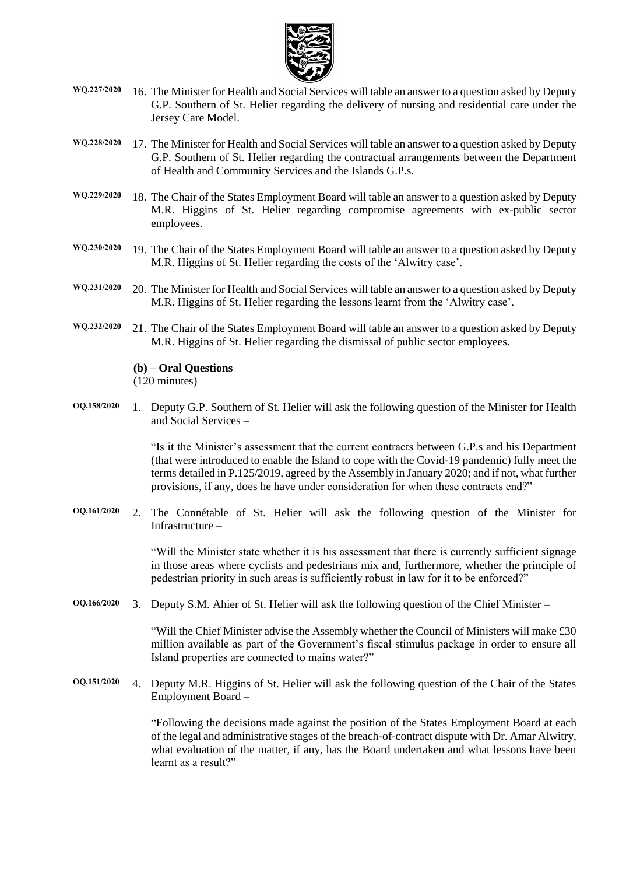

- **WQ.227/2020** 16. The Minister for Health and Social Services will table an answer to a question asked by Deputy G.P. Southern of St. Helier regarding the delivery of nursing and residential care under the Jersey Care Model.
- **WQ.228/2020** 17. The Minister for Health and Social Services will table an answer to a question asked by Deputy G.P. Southern of St. Helier regarding the contractual arrangements between the Department of Health and Community Services and the Islands G.P.s.
- **WQ.229/2020** 18. The Chair of the States Employment Board will table an answer to a question asked by Deputy M.R. Higgins of St. Helier regarding compromise agreements with ex-public sector employees.
- **WQ.230/2020** 19. The Chair of the States Employment Board will table an answer to a question asked by Deputy M.R. Higgins of St. Helier regarding the costs of the 'Alwitry case'.
- **WQ.231/2020** 20. The Minister for Health and Social Services will table an answer to a question asked by Deputy M.R. Higgins of St. Helier regarding the lessons learnt from the 'Alwitry case'.
- **WQ.232/2020** 21. The Chair of the States Employment Board will table an answer to a question asked by Deputy M.R. Higgins of St. Helier regarding the dismissal of public sector employees.

#### **(b) – Oral Questions**

(120 minutes)

**OQ.158/2020** 1. Deputy G.P. Southern of St. Helier will ask the following question of the Minister for Health and Social Services –

> "Is it the Minister's assessment that the current contracts between G.P.s and his Department (that were introduced to enable the Island to cope with the Covid-19 pandemic) fully meet the terms detailed in P.125/2019, agreed by the Assembly in January 2020; and if not, what further provisions, if any, does he have under consideration for when these contracts end?"

**OQ.161/2020** 2. The Connétable of St. Helier will ask the following question of the Minister for Infrastructure –

> "Will the Minister state whether it is his assessment that there is currently sufficient signage in those areas where cyclists and pedestrians mix and, furthermore, whether the principle of pedestrian priority in such areas is sufficiently robust in law for it to be enforced?"

**OQ.166/2020** 3. Deputy S.M. Ahier of St. Helier will ask the following question of the Chief Minister –

"Will the Chief Minister advise the Assembly whether the Council of Ministers will make £30 million available as part of the Government's fiscal stimulus package in order to ensure all Island properties are connected to mains water?"

**OQ.151/2020** 4. Deputy M.R. Higgins of St. Helier will ask the following question of the Chair of the States Employment Board –

> "Following the decisions made against the position of the States Employment Board at each of the legal and administrative stages of the breach-of-contract dispute with Dr. Amar Alwitry, what evaluation of the matter, if any, has the Board undertaken and what lessons have been learnt as a result?"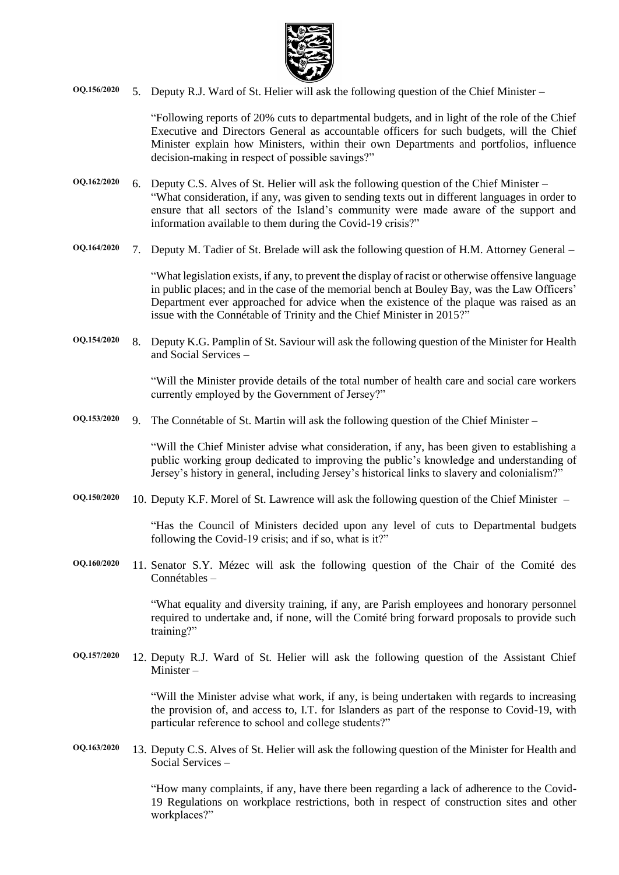

**OQ.156/2020** 5. Deputy R.J. Ward of St. Helier will ask the following question of the Chief Minister –

"Following reports of 20% cuts to departmental budgets, and in light of the role of the Chief Executive and Directors General as accountable officers for such budgets, will the Chief Minister explain how Ministers, within their own Departments and portfolios, influence decision-making in respect of possible savings?"

- **OQ.162/2020** 6. Deputy C.S. Alves of St. Helier will ask the following question of the Chief Minister "What consideration, if any, was given to sending texts out in different languages in order to ensure that all sectors of the Island's community were made aware of the support and information available to them during the Covid-19 crisis?"
- **OQ.164/2020** 7. Deputy M. Tadier of St. Brelade will ask the following question of H.M. Attorney General –

"What legislation exists, if any, to prevent the display of racist or otherwise offensive language in public places; and in the case of the memorial bench at Bouley Bay, was the Law Officers' Department ever approached for advice when the existence of the plaque was raised as an issue with the Connétable of Trinity and the Chief Minister in 2015?"

**OQ.154/2020** 8. Deputy K.G. Pamplin of St. Saviour will ask the following question of the Minister for Health and Social Services –

> "Will the Minister provide details of the total number of health care and social care workers currently employed by the Government of Jersey?"

**OQ.153/2020** 9. The Connétable of St. Martin will ask the following question of the Chief Minister –

"Will the Chief Minister advise what consideration, if any, has been given to establishing a public working group dedicated to improving the public's knowledge and understanding of Jersey's history in general, including Jersey's historical links to slavery and colonialism?"

**OQ.150/2020** 10. Deputy K.F. Morel of St. Lawrence will ask the following question of the Chief Minister –

"Has the Council of Ministers decided upon any level of cuts to Departmental budgets following the Covid-19 crisis; and if so, what is it?"

**OQ.160/2020** 11. Senator S.Y. Mézec will ask the following question of the Chair of the Comité des Connétables –

> "What equality and diversity training, if any, are Parish employees and honorary personnel required to undertake and, if none, will the Comité bring forward proposals to provide such training?"

**OQ.157/2020** 12. Deputy R.J. Ward of St. Helier will ask the following question of the Assistant Chief Minister –

> "Will the Minister advise what work, if any, is being undertaken with regards to increasing the provision of, and access to, I.T. for Islanders as part of the response to Covid-19, with particular reference to school and college students?"

**OQ.163/2020** 13. Deputy C.S. Alves of St. Helier will ask the following question of the Minister for Health and Social Services –

> "How many complaints, if any, have there been regarding a lack of adherence to the Covid-19 Regulations on workplace restrictions, both in respect of construction sites and other workplaces?"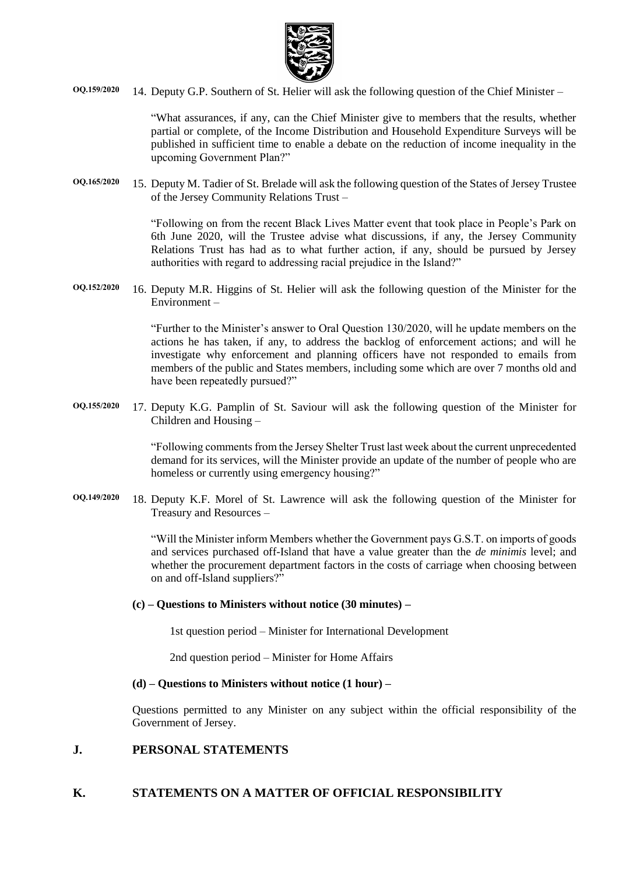

**OQ.159/2020** 14. Deputy G.P. Southern of St. Helier will ask the following question of the Chief Minister –

"What assurances, if any, can the Chief Minister give to members that the results, whether partial or complete, of the Income Distribution and Household Expenditure Surveys will be published in sufficient time to enable a debate on the reduction of income inequality in the upcoming Government Plan?"

**OQ.165/2020** 15. Deputy M. Tadier of St. Brelade will ask the following question of the States of Jersey Trustee of the Jersey Community Relations Trust –

> "Following on from the recent Black Lives Matter event that took place in People's Park on 6th June 2020, will the Trustee advise what discussions, if any, the Jersey Community Relations Trust has had as to what further action, if any, should be pursued by Jersey authorities with regard to addressing racial prejudice in the Island?"

**OQ.152/2020** 16. Deputy M.R. Higgins of St. Helier will ask the following question of the Minister for the Environment –

> "Further to the Minister's answer to Oral Question 130/2020, will he update members on the actions he has taken, if any, to address the backlog of enforcement actions; and will he investigate why enforcement and planning officers have not responded to emails from members of the public and States members, including some which are over 7 months old and have been repeatedly pursued?"

**OQ.155/2020** 17. Deputy K.G. Pamplin of St. Saviour will ask the following question of the Minister for Children and Housing –

> "Following comments from the Jersey Shelter Trust last week about the current unprecedented demand for its services, will the Minister provide an update of the number of people who are homeless or currently using emergency housing?"

**OQ.149/2020** 18. Deputy K.F. Morel of St. Lawrence will ask the following question of the Minister for Treasury and Resources –

> "Will the Minister inform Members whether the Government pays G.S.T. on imports of goods and services purchased off-Island that have a value greater than the *de minimis* level; and whether the procurement department factors in the costs of carriage when choosing between on and off-Island suppliers?"

#### **(c) – Questions to Ministers without notice (30 minutes) –**

1st question period – Minister for International Development

2nd question period – Minister for Home Affairs

#### **(d) – Questions to Ministers without notice (1 hour) –**

Questions permitted to any Minister on any subject within the official responsibility of the Government of Jersey.

### **J. PERSONAL STATEMENTS**

## **K. STATEMENTS ON A MATTER OF OFFICIAL RESPONSIBILITY**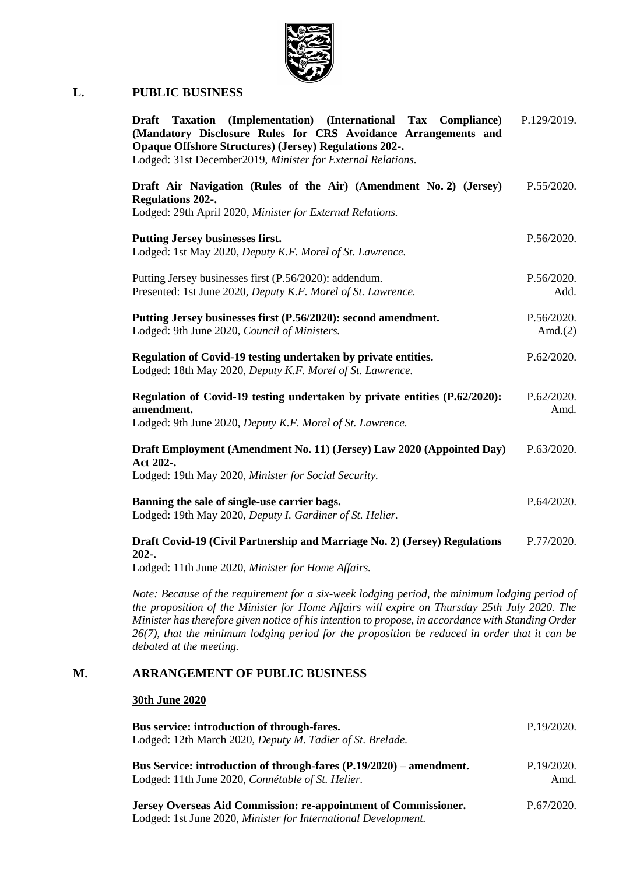

### **L. PUBLIC BUSINESS**

| Taxation (Implementation) (International Tax Compliance)<br><b>Draft</b><br>(Mandatory Disclosure Rules for CRS Avoidance Arrangements and<br><b>Opaque Offshore Structures) (Jersey) Regulations 202-.</b><br>Lodged: 31st December2019, Minister for External Relations. | P.129/2019.        |
|----------------------------------------------------------------------------------------------------------------------------------------------------------------------------------------------------------------------------------------------------------------------------|--------------------|
| Draft Air Navigation (Rules of the Air) (Amendment No. 2) (Jersey)<br><b>Regulations 202-.</b><br>Lodged: 29th April 2020, Minister for External Relations.                                                                                                                | P.55/2020.         |
| Putting Jersey businesses first.<br>Lodged: 1st May 2020, Deputy K.F. Morel of St. Lawrence.                                                                                                                                                                               | P.56/2020.         |
| Putting Jersey businesses first (P.56/2020): addendum.<br>Presented: 1st June 2020, Deputy K.F. Morel of St. Lawrence.                                                                                                                                                     | P.56/2020.<br>Add. |
| Putting Jersey businesses first (P.56/2020): second amendment.<br>Lodged: 9th June 2020, Council of Ministers.                                                                                                                                                             |                    |
| Regulation of Covid-19 testing undertaken by private entities.<br>Lodged: 18th May 2020, Deputy K.F. Morel of St. Lawrence.                                                                                                                                                | P.62/2020.         |
| Regulation of Covid-19 testing undertaken by private entities (P.62/2020):<br>amendment.<br>Lodged: 9th June 2020, Deputy K.F. Morel of St. Lawrence.                                                                                                                      |                    |
| Draft Employment (Amendment No. 11) (Jersey) Law 2020 (Appointed Day)<br>Act 202-.<br>Lodged: 19th May 2020, Minister for Social Security.                                                                                                                                 | P.63/2020.         |
| Banning the sale of single-use carrier bags.<br>Lodged: 19th May 2020, Deputy I. Gardiner of St. Helier.                                                                                                                                                                   | P.64/2020.         |
| Draft Covid-19 (Civil Partnership and Marriage No. 2) (Jersey) Regulations<br>$202-.$<br>Lodged: 11th June 2020, Minister for Home Affairs.                                                                                                                                | P.77/2020.         |

*Note: Because of the requirement for a six-week lodging period, the minimum lodging period of the proposition of the Minister for Home Affairs will expire on Thursday 25th July 2020. The Minister has therefore given notice of his intention to propose, in accordance with Standing Order 26(7), that the minimum lodging period for the proposition be reduced in order that it can be debated at the meeting.*

### **M. ARRANGEMENT OF PUBLIC BUSINESS**

# **30th June 2020**

| Bus service: introduction of through-fares.<br>Lodged: 12th March 2020, Deputy M. Tadier of St. Brelade.                          | P.19/2020.         |
|-----------------------------------------------------------------------------------------------------------------------------------|--------------------|
|                                                                                                                                   |                    |
| Bus Service: introduction of through-fares (P.19/2020) – amendment.<br>Lodged: 11th June 2020, <i>Connétable of St. Helier</i> .  | P.19/2020.<br>Amd. |
| Jersey Overseas Aid Commission: re-appointment of Commissioner.<br>Lodged: 1st June 2020, Minister for International Development. | P.67/2020.         |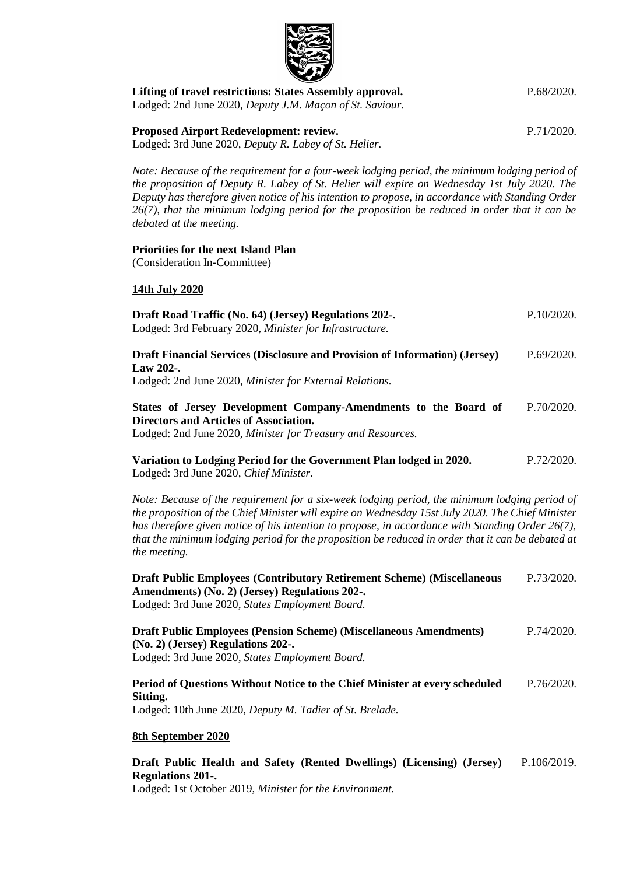| Lifting of travel restrictions: States Assembly approval.<br>Lodged: 2nd June 2020, Deputy J.M. Maçon of St. Saviour.                                                                                                                                                                                                                                                                                                          | P.68/2020. |
|--------------------------------------------------------------------------------------------------------------------------------------------------------------------------------------------------------------------------------------------------------------------------------------------------------------------------------------------------------------------------------------------------------------------------------|------------|
| Proposed Airport Redevelopment: review.<br>Lodged: 3rd June 2020, Deputy R. Labey of St. Helier.                                                                                                                                                                                                                                                                                                                               | P.71/2020. |
| Note: Because of the requirement for a four-week lodging period, the minimum lodging period of<br>the proposition of Deputy R. Labey of St. Helier will expire on Wednesday 1st July 2020. The<br>Deputy has therefore given notice of his intention to propose, in accordance with Standing Order<br>26(7), that the minimum lodging period for the proposition be reduced in order that it can be<br>debated at the meeting. |            |
| <b>Priorities for the next Island Plan</b><br>(Consideration In-Committee)                                                                                                                                                                                                                                                                                                                                                     |            |
| 14th July 2020                                                                                                                                                                                                                                                                                                                                                                                                                 |            |
| Draft Road Traffic (No. 64) (Jersey) Regulations 202-.<br>Lodged: 3rd February 2020, Minister for Infrastructure.                                                                                                                                                                                                                                                                                                              | P.10/2020. |
| Draft Financial Services (Disclosure and Provision of Information) (Jersey)<br>Law 202-.<br>Lodged: 2nd June 2020, Minister for External Relations.                                                                                                                                                                                                                                                                            | P.69/2020. |
| States of Jersey Development Company-Amendments to the Board of<br><b>Directors and Articles of Association.</b><br>Lodged: 2nd June 2020, Minister for Treasury and Resources.                                                                                                                                                                                                                                                | P.70/2020. |
| Variation to Lodging Period for the Government Plan lodged in 2020.<br>Lodged: 3rd June 2020, Chief Minister.                                                                                                                                                                                                                                                                                                                  | P.72/2020. |
| Note: Because of the requirement for a six-week lodging period, the minimum lodging period of<br>the proposition of the Chief Minister will expire on Wednesday 15st July 2020. The Chief Minister<br>has therefore given notice of his intention to propose, in accordance with Standing Order $26(7)$ ,<br>that the minimum lodging period for the proposition be reduced in order that it can be debated at<br>the meeting. |            |
| <b>Draft Public Employees (Contributory Retirement Scheme) (Miscellaneous</b><br>Amendments) (No. 2) (Jersey) Regulations 202-.<br>Lodged: 3rd June 2020, States Employment Board.                                                                                                                                                                                                                                             | P.73/2020. |
| <b>Draft Public Employees (Pension Scheme) (Miscellaneous Amendments)</b><br>(No. 2) (Jersey) Regulations 202-.<br>Lodged: 3rd June 2020, States Employment Board.                                                                                                                                                                                                                                                             | P.74/2020. |
| Period of Questions Without Notice to the Chief Minister at every scheduled                                                                                                                                                                                                                                                                                                                                                    | P.76/2020. |

**[Sitting.](https://statesassembly.gov.je/AssemblyPropositions/2020/P.76-2020.pdf)**

Lodged: 10th June 2020, *[Deputy M. Tadier of St. Brelade.](https://statesassembly.gov.je/AssemblyPropositions/2020/P.76-2020.pdf)*

### **8th September 2020**

#### **[Draft Public Health and Safety \(Rented Dwellings\) \(Licensing\) \(Jersey\)](https://statesassembly.gov.je/assemblypropositions/2019/p.106-2019.pdf)  [Regulations 201-.](https://statesassembly.gov.je/assemblypropositions/2019/p.106-2019.pdf)** [P.106/2019.](https://statesassembly.gov.je/assemblypropositions/2019/p.106-2019.pdf)

Lodged: 1st October 2019, *[Minister for the Environment.](https://statesassembly.gov.je/assemblypropositions/2019/p.106-2019.pdf)*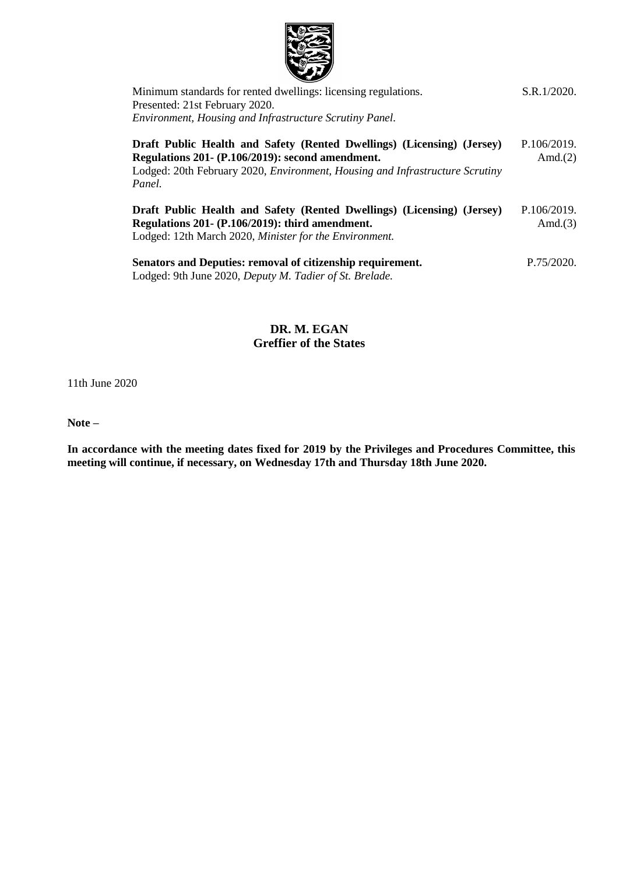

| Minimum standards for rented dwellings: licensing regulations.<br>Presented: 21st February 2020.<br>Environment, Housing and Infrastructure Scrutiny Panel.                                                           | S.R.1/2020.               |
|-----------------------------------------------------------------------------------------------------------------------------------------------------------------------------------------------------------------------|---------------------------|
| Draft Public Health and Safety (Rented Dwellings) (Licensing) (Jersey)<br>Regulations 201 - (P.106/2019): second amendment.<br>Lodged: 20th February 2020, Environment, Housing and Infrastructure Scrutiny<br>Panel. | P.106/2019.<br>Amd. $(2)$ |
| Draft Public Health and Safety (Rented Dwellings) (Licensing) (Jersey)<br>Regulations 201 - (P.106/2019): third amendment.<br>Lodged: 12th March 2020, Minister for the Environment.                                  | P.106/2019.<br>Amd. $(3)$ |
| Senators and Deputies: removal of citizenship requirement.<br>Lodged: 9th June 2020, Deputy M. Tadier of St. Brelade.                                                                                                 | P.75/2020.                |

**DR. M. EGAN Greffier of the States**

11th June 2020

**Note –**

**In accordance with the meeting dates fixed for 2019 by the Privileges and Procedures Committee, this meeting will continue, if necessary, on Wednesday 17th and Thursday 18th June 2020.**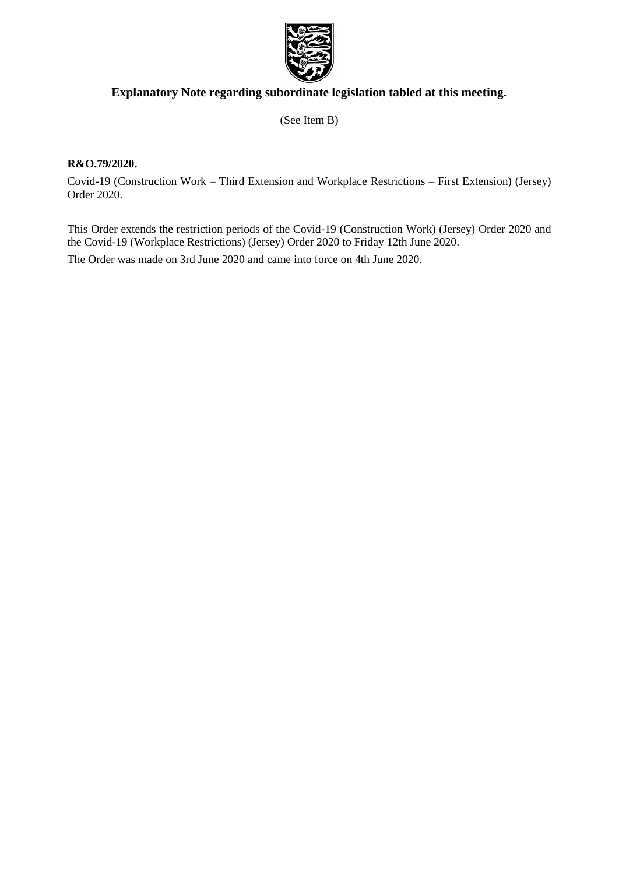

# **Explanatory Note regarding subordinate legislation tabled at this meeting.**

(See Item B)

### **R&O.79/2020.**

Covid-19 (Construction Work – Third Extension and Workplace Restrictions – First Extension) (Jersey) Order 2020.

This Order extends the restriction periods of the Covid-19 (Construction Work) (Jersey) Order 2020 and the Covid-19 (Workplace Restrictions) (Jersey) Order 2020 to Friday 12th June 2020.

The Order was made on 3rd June 2020 and came into force on 4th June 2020.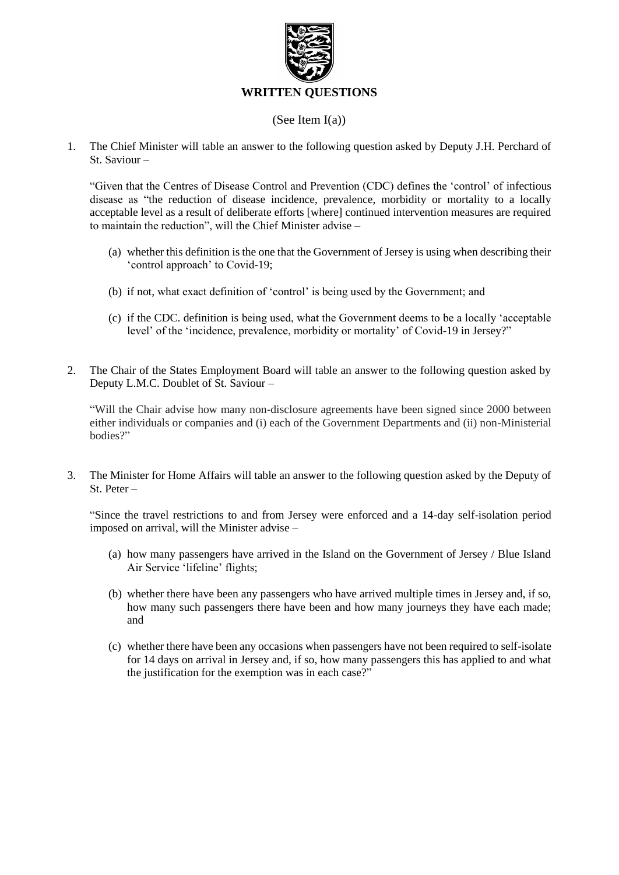

### (See Item I(a))

1. The Chief Minister will table an answer to the following question asked by Deputy J.H. Perchard of St. Saviour –

"Given that the Centres of Disease Control and Prevention (CDC) defines the 'control' of infectious disease as "the reduction of disease incidence, prevalence, morbidity or mortality to a locally acceptable level as a result of deliberate efforts [where] continued intervention measures are required to maintain the reduction", will the Chief Minister advise –

- (a) whether this definition is the one that the Government of Jersey is using when describing their 'control approach' to Covid-19;
- (b) if not, what exact definition of 'control' is being used by the Government; and
- (c) if the CDC. definition is being used, what the Government deems to be a locally 'acceptable level' of the 'incidence, prevalence, morbidity or mortality' of Covid-19 in Jersey?"
- 2. The Chair of the States Employment Board will table an answer to the following question asked by Deputy L.M.C. Doublet of St. Saviour –

"Will the Chair advise how many non-disclosure agreements have been signed since 2000 between either individuals or companies and (i) each of the Government Departments and (ii) non-Ministerial bodies?"

3. The Minister for Home Affairs will table an answer to the following question asked by the Deputy of St. Peter –

"Since the travel restrictions to and from Jersey were enforced and a 14-day self-isolation period imposed on arrival, will the Minister advise –

- (a) how many passengers have arrived in the Island on the Government of Jersey / Blue Island Air Service 'lifeline' flights;
- (b) whether there have been any passengers who have arrived multiple times in Jersey and, if so, how many such passengers there have been and how many journeys they have each made; and
- (c) whether there have been any occasions when passengers have not been required to self-isolate for 14 days on arrival in Jersey and, if so, how many passengers this has applied to and what the justification for the exemption was in each case?"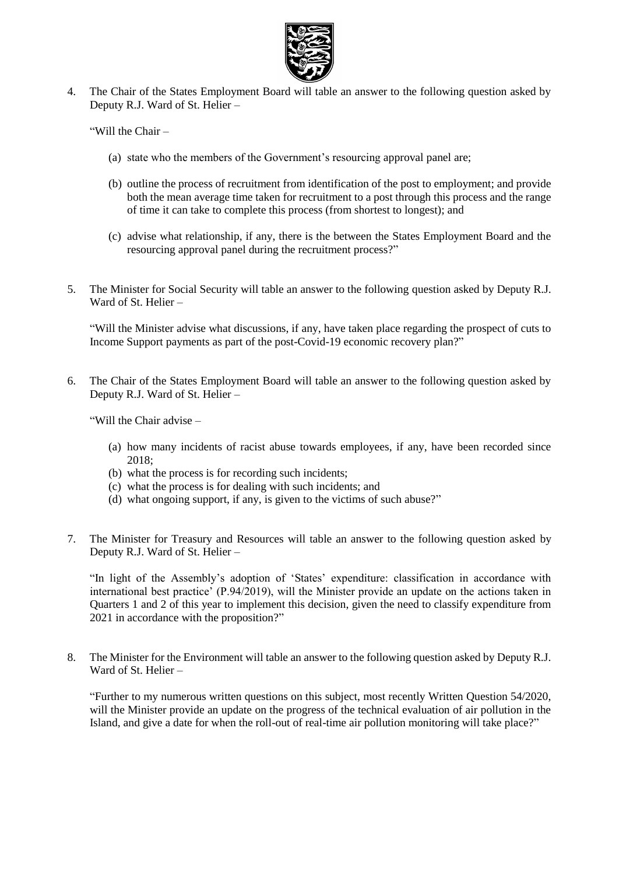

4. The Chair of the States Employment Board will table an answer to the following question asked by Deputy R.J. Ward of St. Helier –

"Will the Chair –

- (a) state who the members of the Government's resourcing approval panel are;
- (b) outline the process of recruitment from identification of the post to employment; and provide both the mean average time taken for recruitment to a post through this process and the range of time it can take to complete this process (from shortest to longest); and
- (c) advise what relationship, if any, there is the between the States Employment Board and the resourcing approval panel during the recruitment process?"
- 5. The Minister for Social Security will table an answer to the following question asked by Deputy R.J. Ward of St. Helier –

"Will the Minister advise what discussions, if any, have taken place regarding the prospect of cuts to Income Support payments as part of the post-Covid-19 economic recovery plan?"

6. The Chair of the States Employment Board will table an answer to the following question asked by Deputy R.J. Ward of St. Helier –

"Will the Chair advise –

- (a) how many incidents of racist abuse towards employees, if any, have been recorded since 2018;
- (b) what the process is for recording such incidents;
- (c) what the process is for dealing with such incidents; and
- (d) what ongoing support, if any, is given to the victims of such abuse?"
- 7. The Minister for Treasury and Resources will table an answer to the following question asked by Deputy R.J. Ward of St. Helier –

"In light of the Assembly's adoption of 'States' expenditure: classification in accordance with international best practice' (P.94/2019), will the Minister provide an update on the actions taken in Quarters 1 and 2 of this year to implement this decision, given the need to classify expenditure from 2021 in accordance with the proposition?"

8. The Minister for the Environment will table an answer to the following question asked by Deputy R.J. Ward of St. Helier –

"Further to my numerous written questions on this subject, most recently Written Question 54/2020, will the Minister provide an update on the progress of the technical evaluation of air pollution in the Island, and give a date for when the roll-out of real-time air pollution monitoring will take place?"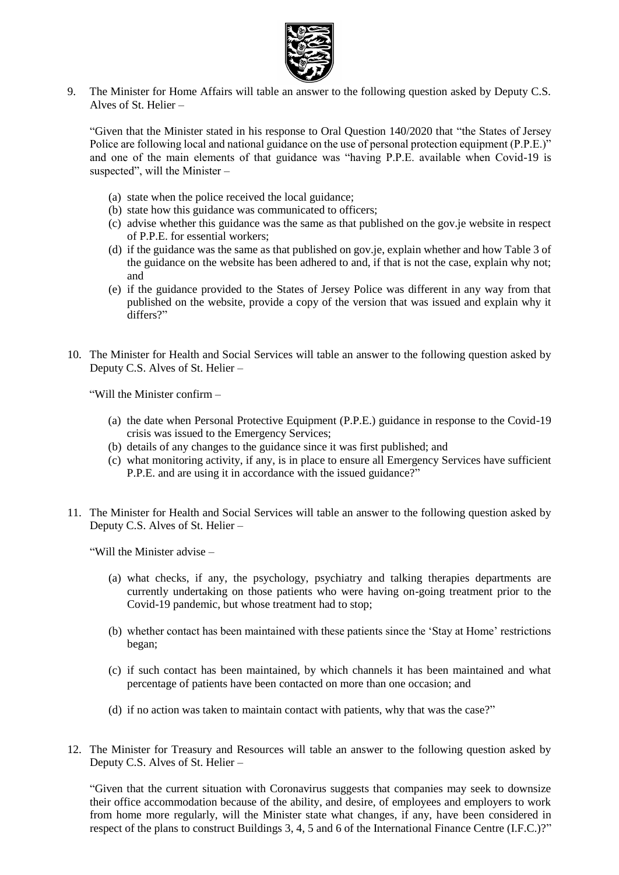

9. The Minister for Home Affairs will table an answer to the following question asked by Deputy C.S. Alves of St. Helier –

"Given that the Minister stated in his response to Oral Question 140/2020 that "the States of Jersey Police are following local and national guidance on the use of personal protection equipment (P.P.E.)" and one of the main elements of that guidance was "having P.P.E. available when Covid-19 is suspected", will the Minister –

- (a) state when the police received the local guidance;
- (b) state how this guidance was communicated to officers;
- (c) advise whether this guidance was the same as that published on the gov.je website in respect of P.P.E. for essential workers;
- (d) if the guidance was the same as that published on gov.je, explain whether and how Table 3 of the guidance on the website has been adhered to and, if that is not the case, explain why not; and
- (e) if the guidance provided to the States of Jersey Police was different in any way from that published on the website, provide a copy of the version that was issued and explain why it differs?"
- 10. The Minister for Health and Social Services will table an answer to the following question asked by Deputy C.S. Alves of St. Helier –

"Will the Minister confirm –

- (a) the date when Personal Protective Equipment (P.P.E.) guidance in response to the Covid-19 crisis was issued to the Emergency Services;
- (b) details of any changes to the guidance since it was first published; and
- (c) what monitoring activity, if any, is in place to ensure all Emergency Services have sufficient P.P.E. and are using it in accordance with the issued guidance?"
- 11. The Minister for Health and Social Services will table an answer to the following question asked by Deputy C.S. Alves of St. Helier –

"Will the Minister advise –

- (a) what checks, if any, the psychology, psychiatry and talking therapies departments are currently undertaking on those patients who were having on-going treatment prior to the Covid-19 pandemic, but whose treatment had to stop;
- (b) whether contact has been maintained with these patients since the 'Stay at Home' restrictions began;
- (c) if such contact has been maintained, by which channels it has been maintained and what percentage of patients have been contacted on more than one occasion; and
- (d) if no action was taken to maintain contact with patients, why that was the case?"
- 12. The Minister for Treasury and Resources will table an answer to the following question asked by Deputy C.S. Alves of St. Helier –

"Given that the current situation with Coronavirus suggests that companies may seek to downsize their office accommodation because of the ability, and desire, of employees and employers to work from home more regularly, will the Minister state what changes, if any, have been considered in respect of the plans to construct Buildings 3, 4, 5 and 6 of the International Finance Centre (I.F.C.)?"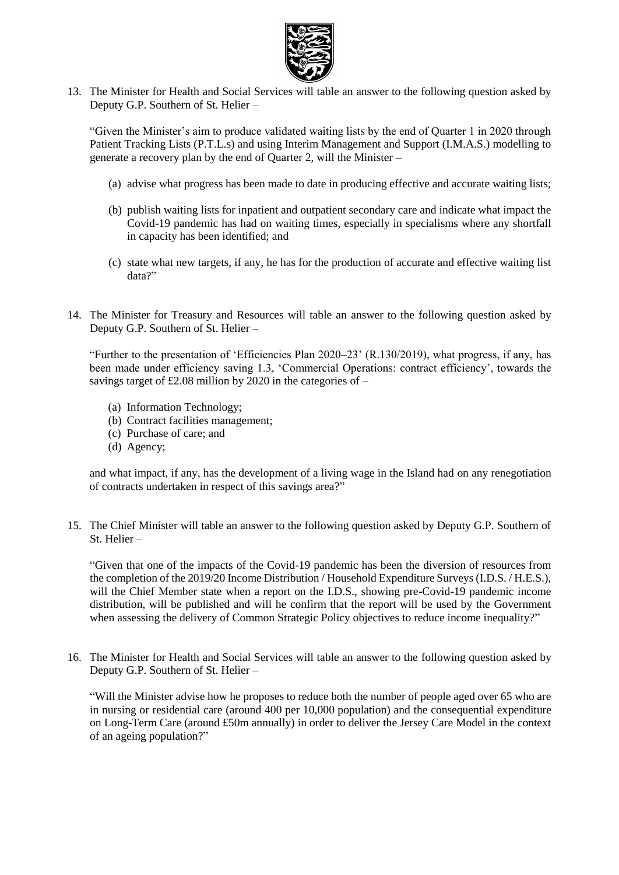

13. The Minister for Health and Social Services will table an answer to the following question asked by Deputy G.P. Southern of St. Helier –

"Given the Minister's aim to produce validated waiting lists by the end of Quarter 1 in 2020 through Patient Tracking Lists (P.T.L.s) and using Interim Management and Support (I.M.A.S.) modelling to generate a recovery plan by the end of Quarter 2, will the Minister –

- (a) advise what progress has been made to date in producing effective and accurate waiting lists;
- (b) publish waiting lists for inpatient and outpatient secondary care and indicate what impact the Covid-19 pandemic has had on waiting times, especially in specialisms where any shortfall in capacity has been identified; and
- (c) state what new targets, if any, he has for the production of accurate and effective waiting list data?"
- 14. The Minister for Treasury and Resources will table an answer to the following question asked by Deputy G.P. Southern of St. Helier –

"Further to the presentation of 'Efficiencies Plan 2020–23' (R.130/2019), what progress, if any, has been made under efficiency saving 1.3, 'Commercial Operations: contract efficiency', towards the savings target of £2.08 million by 2020 in the categories of  $-$ 

- (a) Information Technology;
- (b) Contract facilities management;
- (c) Purchase of care; and
- (d) Agency;

and what impact, if any, has the development of a living wage in the Island had on any renegotiation of contracts undertaken in respect of this savings area?"

15. The Chief Minister will table an answer to the following question asked by Deputy G.P. Southern of St. Helier –

"Given that one of the impacts of the Covid-19 pandemic has been the diversion of resources from the completion of the 2019/20 Income Distribution / Household Expenditure Surveys (I.D.S. / H.E.S.), will the Chief Member state when a report on the I.D.S., showing pre-Covid-19 pandemic income distribution, will be published and will he confirm that the report will be used by the Government when assessing the delivery of Common Strategic Policy objectives to reduce income inequality?"

16. The Minister for Health and Social Services will table an answer to the following question asked by Deputy G.P. Southern of St. Helier –

"Will the Minister advise how he proposes to reduce both the number of people aged over 65 who are in nursing or residential care (around 400 per 10,000 population) and the consequential expenditure on Long-Term Care (around £50m annually) in order to deliver the Jersey Care Model in the context of an ageing population?"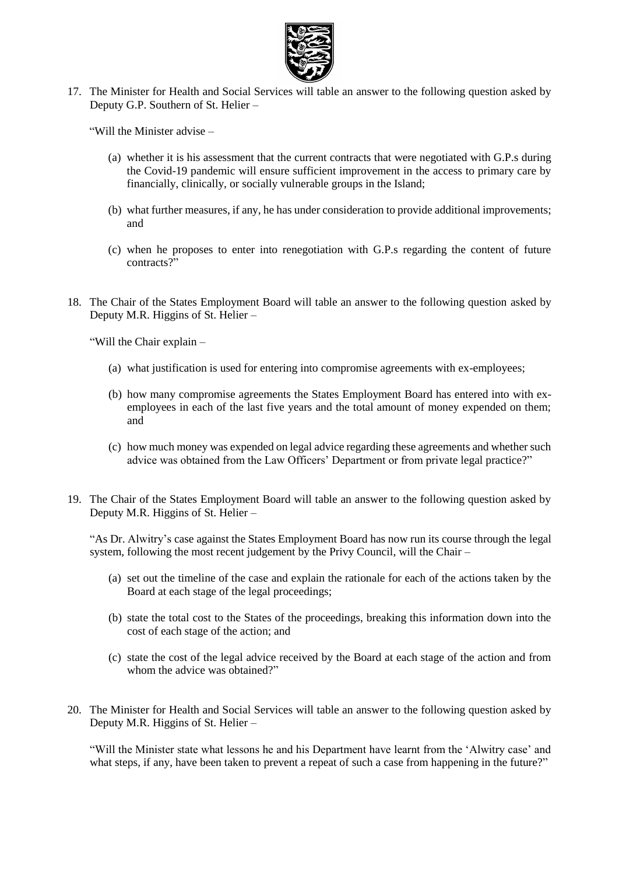

17. The Minister for Health and Social Services will table an answer to the following question asked by Deputy G.P. Southern of St. Helier –

"Will the Minister advise –

- (a) whether it is his assessment that the current contracts that were negotiated with G.P.s during the Covid-19 pandemic will ensure sufficient improvement in the access to primary care by financially, clinically, or socially vulnerable groups in the Island;
- (b) what further measures, if any, he has under consideration to provide additional improvements; and
- (c) when he proposes to enter into renegotiation with G.P.s regarding the content of future contracts?"
- 18. The Chair of the States Employment Board will table an answer to the following question asked by Deputy M.R. Higgins of St. Helier –

"Will the Chair explain –

- (a) what justification is used for entering into compromise agreements with ex-employees;
- (b) how many compromise agreements the States Employment Board has entered into with exemployees in each of the last five years and the total amount of money expended on them; and
- (c) how much money was expended on legal advice regarding these agreements and whether such advice was obtained from the Law Officers' Department or from private legal practice?"
- 19. The Chair of the States Employment Board will table an answer to the following question asked by Deputy M.R. Higgins of St. Helier –

"As Dr. Alwitry's case against the States Employment Board has now run its course through the legal system, following the most recent judgement by the Privy Council, will the Chair –

- (a) set out the timeline of the case and explain the rationale for each of the actions taken by the Board at each stage of the legal proceedings;
- (b) state the total cost to the States of the proceedings, breaking this information down into the cost of each stage of the action; and
- (c) state the cost of the legal advice received by the Board at each stage of the action and from whom the advice was obtained?"
- 20. The Minister for Health and Social Services will table an answer to the following question asked by Deputy M.R. Higgins of St. Helier –

"Will the Minister state what lessons he and his Department have learnt from the 'Alwitry case' and what steps, if any, have been taken to prevent a repeat of such a case from happening in the future?"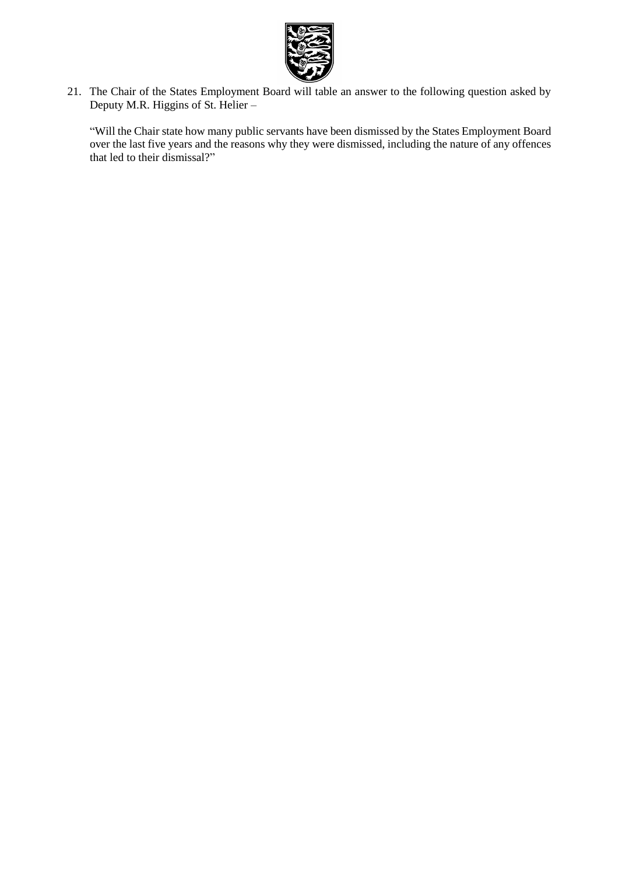

21. The Chair of the States Employment Board will table an answer to the following question asked by Deputy M.R. Higgins of St. Helier –

"Will the Chair state how many public servants have been dismissed by the States Employment Board over the last five years and the reasons why they were dismissed, including the nature of any offences that led to their dismissal?"